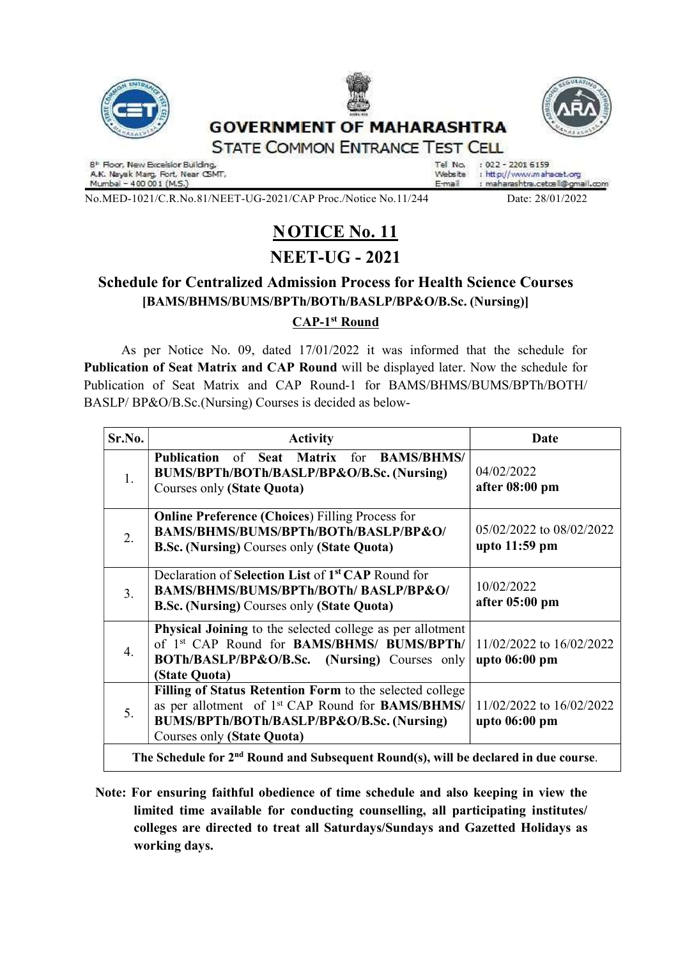



## **GOVERNMENT OF MAHARASHTRA STATE COMMON ENTRANCE TEST CELL**



8" Floor, New Excelsior Building,<br>A.K. Nayak Marg, Fort, Near CSMT,<br>Mumbai – 400 001 (M.S.)

: 022 - 2201 6159 Tel No. Website : http://www.mahacet.org : maharashtra.cetcell@gmail.com E-mail

No.MED-1021/C.R.No.81/NEET-UG-2021/CAP Proc./Notice No.11/244 Date: 28/01/2022

# **NOTICE No. 11**

## NEET-UG - 2021

### Schedule for Centralized Admission Process for Health Science Courses [BAMS/BHMS/BUMS/BPTh/BOTh/BASLP/BP&O/B.Sc. (Nursing)] CAP-1st Round

As per Notice No. 09, dated 17/01/2022 it was informed that the schedule for Publication of Seat Matrix and CAP Round will be displayed later. Now the schedule for Publication of Seat Matrix and CAP Round-1 for BAMS/BHMS/BUMS/BPTh/BOTH/ BASLP/ BP&O/B.Sc.(Nursing) Courses is decided as below-

| Sr.No.                                                                                          | <b>Activity</b>                                                                                                                                                                                            | Date                                      |
|-------------------------------------------------------------------------------------------------|------------------------------------------------------------------------------------------------------------------------------------------------------------------------------------------------------------|-------------------------------------------|
| 1.                                                                                              | Publication of Seat Matrix for BAMS/BHMS/<br>BUMS/BPTh/BOTh/BASLP/BP&O/B.Sc. (Nursing)<br>Courses only (State Quota)                                                                                       | 04/02/2022<br>after 08:00 pm              |
| 2.                                                                                              | <b>Online Preference (Choices) Filling Process for</b><br>BAMS/BHMS/BUMS/BPTh/BOTh/BASLP/BP&O/<br><b>B.Sc. (Nursing)</b> Courses only (State Quota)                                                        | 05/02/2022 to 08/02/2022<br>upto 11:59 pm |
| 3.                                                                                              | Declaration of Selection List of 1 <sup>st</sup> CAP Round for<br>BAMS/BHMS/BUMS/BPTh/BOTh/BASLP/BP&O/<br><b>B.Sc. (Nursing)</b> Courses only (State Quota)                                                | 10/02/2022<br>after 05:00 pm              |
| 4.                                                                                              | Physical Joining to the selected college as per allotment<br>of 1st CAP Round for BAMS/BHMS/ BUMS/BPTh/<br>BOTh/BASLP/BP&O/B.Sc. (Nursing) Courses only<br>(State Quota)                                   | 11/02/2022 to 16/02/2022<br>upto 06:00 pm |
| 5.                                                                                              | Filling of Status Retention Form to the selected college<br>as per allotment of 1 <sup>st</sup> CAP Round for <b>BAMS/BHMS/</b><br>BUMS/BPTh/BOTh/BASLP/BP&O/B.Sc. (Nursing)<br>Courses only (State Quota) | 11/02/2022 to 16/02/2022<br>upto 06:00 pm |
| The Schedule for 2 <sup>nd</sup> Round and Subsequent Round(s), will be declared in due course. |                                                                                                                                                                                                            |                                           |

 Note: For ensuring faithful obedience of time schedule and also keeping in view the limited time available for conducting counselling, all participating institutes/ colleges are directed to treat all Saturdays/Sundays and Gazetted Holidays as working days.